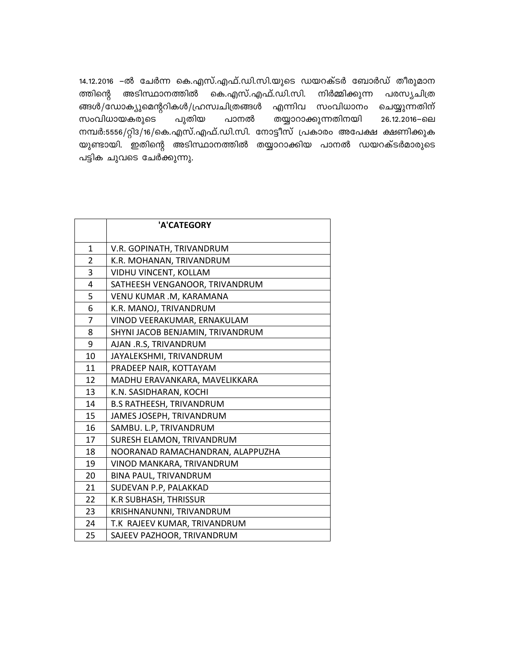14.12.2016 –ൽ ചേർന്ന കെ.എസ്.എഫ്.ഡി.സി.യുടെ ഡയറക്ടർ ബോർഡ് തീരുമാന കെ.എസ്.എഫ്.ഡി.സി. ത്തിന്റെ അടിസ്ഥാനത്തിൽ നിർമ്മിക്കുന്ന പരസ്യചിത്ര ങ്ങൾ/ഡോക്യുമെന്ററികൾ/ഹ്രസ്വചിത്രങ്ങൾ എന്നിവ സംവിധാനം ചെയ്യുന്നതിന് സംവിധായകരുടെ പുതിയ തയ്യാറാക്കുന്നതിനയി പാനൽ 26.12.2016-6ല നമ്പർ:5556/റ്റി3/16/കെ.എസ്.എഫ്.ഡി.സി. നോട്ടീസ് പ്രകാരം അപേക്ഷ ക്ഷണിക്കുക യുണ്ടായി. ഇതിന്റെ അടിസ്ഥാനത്തിൽ തയ്യാറാക്കിയ പാനൽ ഡയറക്ടർമാരുടെ പട്ടിക ചുവടെ ചേർക്കുന്നു.

|                | 'A'CATEGORY                      |
|----------------|----------------------------------|
|                |                                  |
| $\mathbf{1}$   | V.R. GOPINATH, TRIVANDRUM        |
| $\overline{2}$ | K.R. MOHANAN, TRIVANDRUM         |
| 3              | VIDHU VINCENT, KOLLAM            |
| 4              | SATHEESH VENGANOOR, TRIVANDRUM   |
| 5              | VENU KUMAR .M, KARAMANA          |
| 6              | K.R. MANOJ, TRIVANDRUM           |
| 7              | VINOD VEERAKUMAR, ERNAKULAM      |
| 8              | SHYNI JACOB BENJAMIN, TRIVANDRUM |
| 9              | AJAN .R.S, TRIVANDRUM            |
| 10             | JAYALEKSHMI, TRIVANDRUM          |
| 11             | PRADEEP NAIR, KOTTAYAM           |
| 12             | MADHU ERAVANKARA, MAVELIKKARA    |
| 13             | K.N. SASIDHARAN, KOCHI           |
| 14             | <b>B.S RATHEESH, TRIVANDRUM</b>  |
| 15             | JAMES JOSEPH, TRIVANDRUM         |
| 16             | SAMBU. L.P, TRIVANDRUM           |
| 17             | SURESH ELAMON, TRIVANDRUM        |
| 18             | NOORANAD RAMACHANDRAN, ALAPPUZHA |
| 19             | VINOD MANKARA, TRIVANDRUM        |
| 20             | <b>BINA PAUL, TRIVANDRUM</b>     |
| 21             | SUDEVAN P.P, PALAKKAD            |
| 22             | <b>K.R SUBHASH, THRISSUR</b>     |
| 23             | KRISHNANUNNI, TRIVANDRUM         |
| 24             | T.K RAJEEV KUMAR, TRIVANDRUM     |
| 25             | SAJEEV PAZHOOR, TRIVANDRUM       |